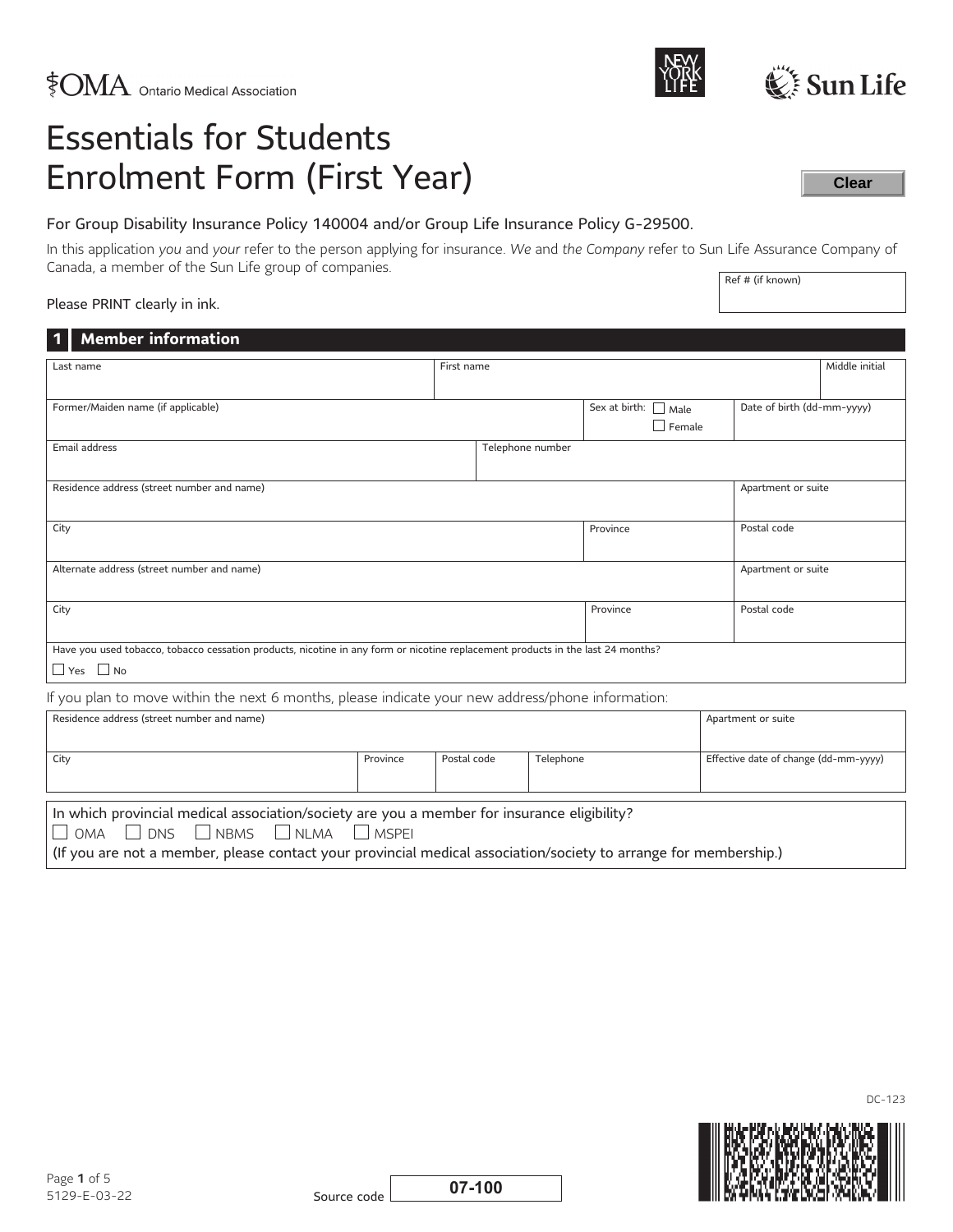# Essentials for Students Enrolment Form (First Year)

# For Group Disability Insurance Policy 140004 and/or Group Life Insurance Policy G-29500.

Ref # (if known) In this application *you* and *your* refer to the person applying for insurance. *We* and *the Company* refer to Sun Life Assurance Company of Canada, a member of the Sun Life group of companies.

# Please PRINT clearly in ink.

| <b>Member information</b><br>$\vert$ 1 $\vert$                                                                                  |          |            |                          |  |                                       |  |                            |                |
|---------------------------------------------------------------------------------------------------------------------------------|----------|------------|--------------------------|--|---------------------------------------|--|----------------------------|----------------|
| Last name                                                                                                                       |          | First name |                          |  |                                       |  |                            | Middle initial |
|                                                                                                                                 |          |            |                          |  |                                       |  |                            |                |
| Former/Maiden name (if applicable)                                                                                              |          |            |                          |  | Sex at birth:<br>$\Box$ Male          |  | Date of birth (dd-mm-yyyy) |                |
|                                                                                                                                 |          |            |                          |  | $\Box$ Female                         |  |                            |                |
| Email address                                                                                                                   |          |            | Telephone number         |  |                                       |  |                            |                |
|                                                                                                                                 |          |            |                          |  |                                       |  |                            |                |
| Residence address (street number and name)<br>Apartment or suite                                                                |          |            |                          |  |                                       |  |                            |                |
|                                                                                                                                 |          |            |                          |  |                                       |  | Postal code                |                |
| City<br>Province                                                                                                                |          |            |                          |  |                                       |  |                            |                |
| Alternate address (street number and name)<br>Apartment or suite                                                                |          |            |                          |  |                                       |  |                            |                |
|                                                                                                                                 |          |            |                          |  |                                       |  |                            |                |
| City                                                                                                                            |          |            |                          |  | Province                              |  | Postal code                |                |
|                                                                                                                                 |          |            |                          |  |                                       |  |                            |                |
| Have you used tobacco, tobacco cessation products, nicotine in any form or nicotine replacement products in the last 24 months? |          |            |                          |  |                                       |  |                            |                |
| $\Box$ Yes $\Box$ No                                                                                                            |          |            |                          |  |                                       |  |                            |                |
| If you plan to move within the next 6 months, please indicate your new address/phone information:                               |          |            |                          |  |                                       |  |                            |                |
| Residence address (street number and name)                                                                                      |          |            | Apartment or suite       |  |                                       |  |                            |                |
|                                                                                                                                 |          |            |                          |  |                                       |  |                            |                |
| City                                                                                                                            | Province |            | Postal code<br>Telephone |  | Effective date of change (dd-mm-yyyy) |  |                            |                |
|                                                                                                                                 |          |            |                          |  |                                       |  |                            |                |
|                                                                                                                                 |          |            |                          |  |                                       |  |                            |                |

In which provincial medical association/society are you a member for insurance eligibility?

 $\Box$  OMA  $\Box$  DNS  $\Box$  NBMS  $\Box$  NLMA  $\Box$  MSPEI

(If you are not a member, please contact your provincial medical association/society to arrange for membership.)

Source code **07-100**



DC-123



**Clear**



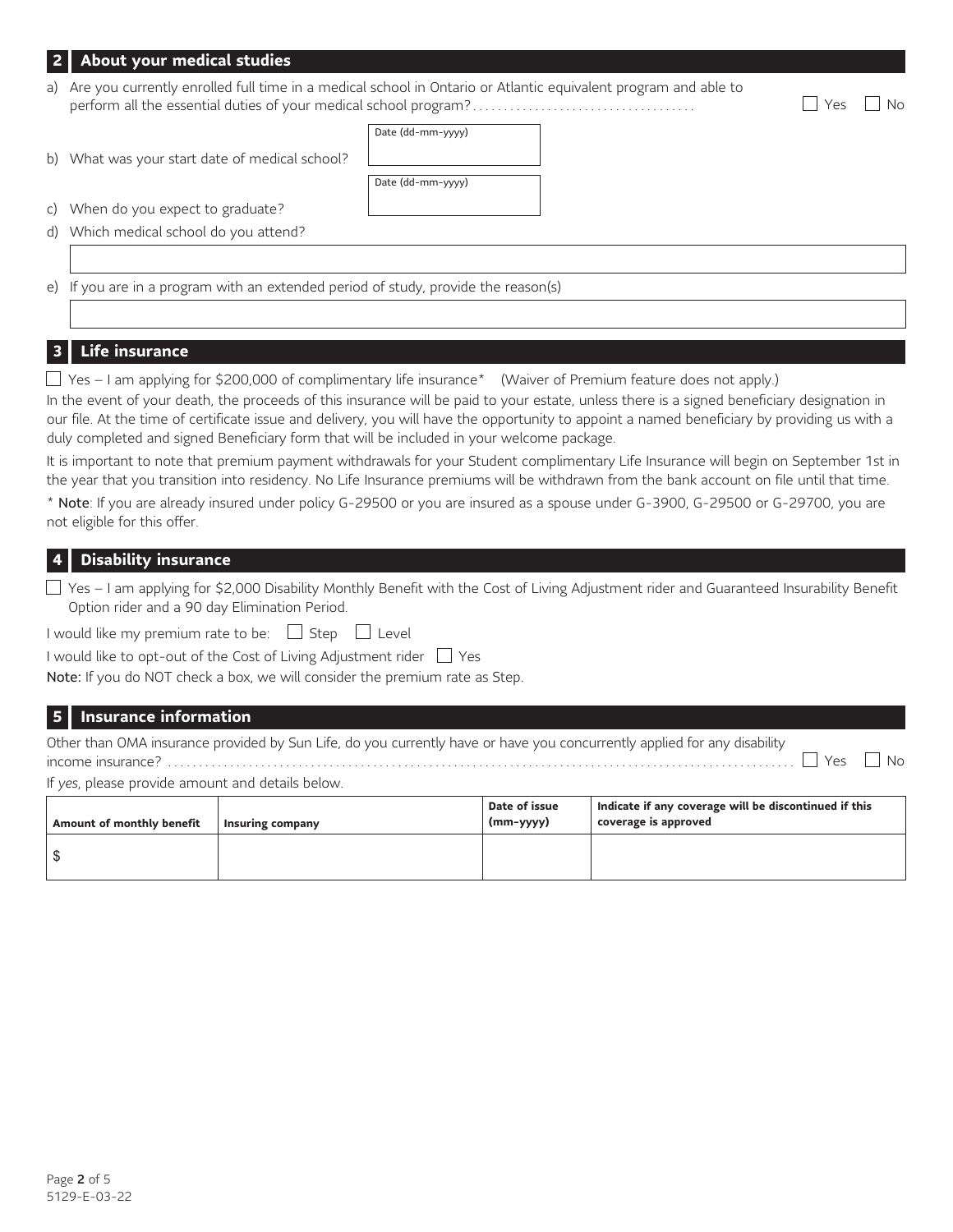## **2 About your medical studies**

a) Are you currently enrolled full time in a medical school in Ontario or Atlantic equivalent program and able to perform all the essential duties of your medical school program?.................................... Yes No

b) What was your start date of medical school?

<span id="page-1-1"></span>

| Date (dd-mm-yyyy) |
|-------------------|
| Date (dd-mm-yyyy) |

c) When do you expect to graduate?

d) Which medical school do you attend?

e) If you are in a program with an extended period of study, provide the reason(s)

# **3 Life insurance**

 $\Box$  Yes – I am applying for \$200,000 of complimentary life insuranc[e\\*](#page-1-0) (Waiver of Premium feature does not apply.) In the event of your death, the proceeds of this insurance will be paid to your estate, unless there is a signed beneficiary designation in our file. At the time of certificate issue and delivery, you will have the opportunity to appoint a named beneficiary by providing us with a duly completed and signed Beneficiary form that will be included in your welcome package.

It is important to note that premium payment withdrawals for your Student complimentary Life Insurance will begin on September 1st in the year that you transition into residency. No Life Insurance premiums will be withdrawn from the bank account on file until that time.

<span id="page-1-0"></span>[\\*](#page-1-1) Note: If you are already insured under policy G-29500 or you are insured as a spouse under G-3900, G-29500 or G-29700, you are not eligible for this offer.

## **4 Disability insurance**

| $\Box$ Yes – I am applying for \$2,000 Disability Monthly Benefit with the Cost of Living Adjustment rider and Guaranteed Insurability Benefit |
|------------------------------------------------------------------------------------------------------------------------------------------------|
| Option rider and a 90 day Elimination Period.                                                                                                  |

I would like my premium rate to be:  $\Box$  Step  $\Box$  Level

I would like to opt-out of the Cost of Living Adjustment rider  $\Box$  Yes

Note: If you do NOT check a box, we will consider the premium rate as Step.

### **5 Insurance information**

| Other than OMA insurance provided by Sun Life, do you currently have or have you concurrently applied for any disability |  |
|--------------------------------------------------------------------------------------------------------------------------|--|
|                                                                                                                          |  |

If *yes*, please provide amount and details below.

| Amount of monthly benefit | Insuring company | Date of issue<br>$(mm - yyyy)$ | Indicate if any coverage will be discontinued if this<br>coverage is approved |
|---------------------------|------------------|--------------------------------|-------------------------------------------------------------------------------|
|                           |                  |                                |                                                                               |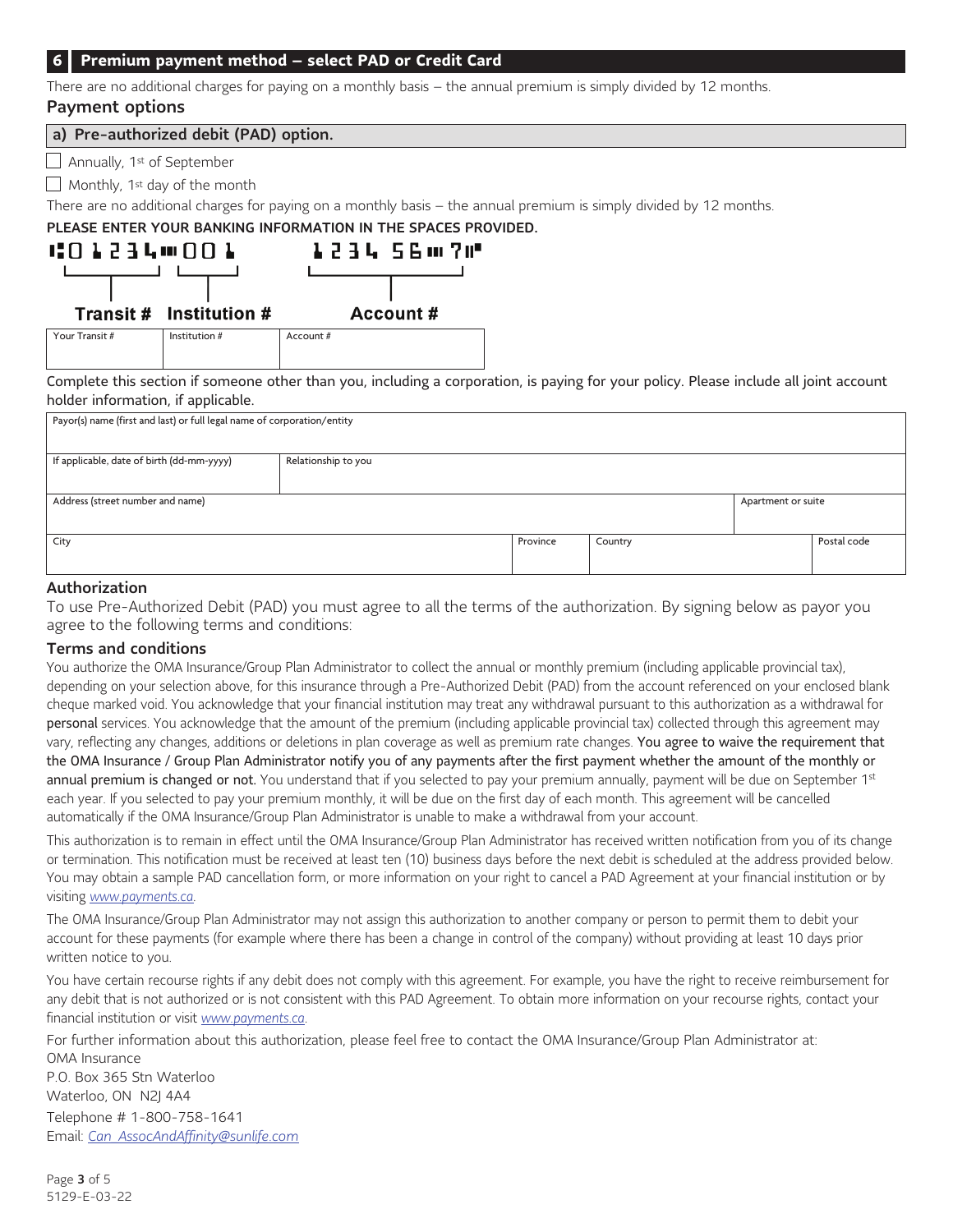#### **6 Premium payment method – select PAD or Credit Card**

There are no additional charges for paying on a monthly basis – the annual premium is simply divided by 12 months.

# Payment options

a) Pre-authorized debit (PAD) option.

 $\Box$  Annually, 1<sup>st</sup> of September

 $\Box$  Monthly, 1<sup>st</sup> day of the month

There are no additional charges for paying on a monthly basis – the annual premium is simply divided by 12 months.

# PLEASE ENTER YOUR BANKING INFORMATION IN THE SPACES PROVIDED.



Your Transit # Institution # Account #

Complete this section if someone other than you, including a corporation, is paying for your policy. Please include all joint account holder information, if applicable.

| Payor(s) name (first and last) or full legal name of corporation/entity |                     |          |         |  |             |
|-------------------------------------------------------------------------|---------------------|----------|---------|--|-------------|
| If applicable, date of birth (dd-mm-yyyy)                               | Relationship to you |          |         |  |             |
| Address (street number and name)<br>Apartment or suite                  |                     |          |         |  |             |
| City                                                                    |                     | Province | Country |  | Postal code |

#### Authorization

To use Pre-Authorized Debit (PAD) you must agree to all the terms of the authorization. By signing below as payor you agree to the following terms and conditions:

#### Terms and conditions

You authorize the OMA Insurance/Group Plan Administrator to collect the annual or monthly premium (including applicable provincial tax), depending on your selection above, for this insurance through a Pre-Authorized Debit (PAD) from the account referenced on your enclosed blank cheque marked void. You acknowledge that your financial institution may treat any withdrawal pursuant to this authorization as a withdrawal for personal services. You acknowledge that the amount of the premium (including applicable provincial tax) collected through this agreement may vary, reflecting any changes, additions or deletions in plan coverage as well as premium rate changes. You agree to waive the requirement that the OMA Insurance / Group Plan Administrator notify you of any payments after the first payment whether the amount of the monthly or annual premium is changed or not. You understand that if you selected to pay your premium annually, payment will be due on September 1<sup>st</sup> each year. If you selected to pay your premium monthly, it will be due on the first day of each month. This agreement will be cancelled automatically if the OMA Insurance/Group Plan Administrator is unable to make a withdrawal from your account.

This authorization is to remain in effect until the OMA Insurance/Group Plan Administrator has received written notification from you of its change or termination. This notification must be received at least ten (10) business days before the next debit is scheduled at the address provided below. You may obtain a sample PAD cancellation form, or more information on your right to cancel a PAD Agreement at your financial institution or by visiting *[www.payments.ca](http://www.payments.ca)*.

The OMA Insurance/Group Plan Administrator may not assign this authorization to another company or person to permit them to debit your account for these payments (for example where there has been a change in control of the company) without providing at least 10 days prior written notice to you.

You have certain recourse rights if any debit does not comply with this agreement. For example, you have the right to receive reimbursement for any debit that is not authorized or is not consistent with this PAD Agreement. To obtain more information on your recourse rights, contact your financial institution or visit *[www.payments.ca](http://www.payments.ca)*.

For further information about this authorization, please feel free to contact the OMA Insurance/Group Plan Administrator at: OMA Insurance P.O. Box 365 Stn Waterloo Waterloo, ON N2J 4A4 Telephone # 1-800-758-1641 Email: *[Can\\_AssocAndAffinity@sunlife.com](mailto:Can_AssocAndAffinity@sunlife.com)*

Page 3 of 5 5129-E-03-22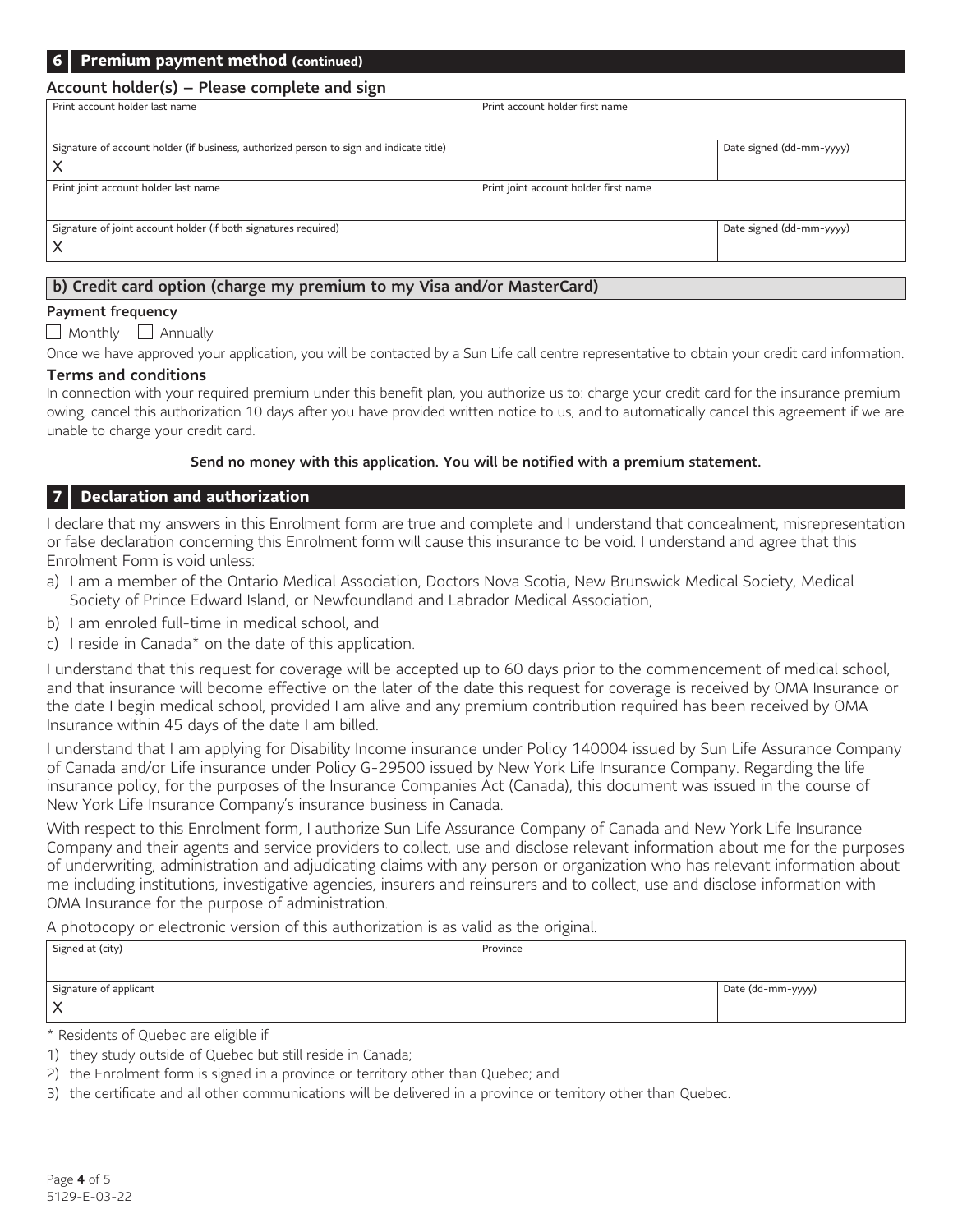| 6   Premium payment method (continued)                                                       |                                       |                          |  |  |  |
|----------------------------------------------------------------------------------------------|---------------------------------------|--------------------------|--|--|--|
| Account holder(s) – Please complete and sign                                                 |                                       |                          |  |  |  |
| Print account holder last name                                                               | Print account holder first name       |                          |  |  |  |
| Signature of account holder (if business, authorized person to sign and indicate title)<br>х |                                       | Date signed (dd-mm-yyyy) |  |  |  |
| Print joint account holder last name                                                         | Print joint account holder first name |                          |  |  |  |
| Signature of joint account holder (if both signatures required)                              |                                       | Date signed (dd-mm-yyyy) |  |  |  |

# b) Credit card option (charge my premium to my Visa and/or MasterCard)

#### Payment frequency

 $\Box$  Monthly  $\Box$  Annually

Once we have approved your application, you will be contacted by a Sun Life call centre representative to obtain your credit card information.

# Terms and conditions

In connection with your required premium under this benefit plan, you authorize us to: charge your credit card for the insurance premium owing, cancel this authorization 10 days after you have provided written notice to us, and to automatically cancel this agreement if we are unable to charge your credit card.

#### Send no money with this application. You will be notified with a premium statement.

## **7 Declaration and authorization**

I declare that my answers in this Enrolment form are true and complete and I understand that concealment, misrepresentation or false declaration concerning this Enrolment form will cause this insurance to be void. I understand and agree that this Enrolment Form is void unless:

- a) I am a member of the Ontario Medical Association, Doctors Nova Scotia, New Brunswick Medical Society, Medical Society of Prince Edward Island, or Newfoundland and Labrador Medical Association,
- b) I am enroled full-time in medical school, and
- <span id="page-3-1"></span>c) I reside in Canad[a\\*](#page-3-0) on the date of this application.

I understand that this request for coverage will be accepted up to 60 days prior to the commencement of medical school, and that insurance will become effective on the later of the date this request for coverage is received by OMA Insurance or the date I begin medical school, provided I am alive and any premium contribution required has been received by OMA Insurance within 45 days of the date I am billed.

I understand that I am applying for Disability Income insurance under Policy 140004 issued by Sun Life Assurance Company of Canada and/or Life insurance under Policy G-29500 issued by New York Life Insurance Company. Regarding the life insurance policy, for the purposes of the Insurance Companies Act (Canada), this document was issued in the course of New York Life Insurance Company's insurance business in Canada.

With respect to this Enrolment form, I authorize Sun Life Assurance Company of Canada and New York Life Insurance Company and their agents and service providers to collect, use and disclose relevant information about me for the purposes of underwriting, administration and adjudicating claims with any person or organization who has relevant information about me including institutions, investigative agencies, insurers and reinsurers and to collect, use and disclose information with OMA Insurance for the purpose of administration.

A photocopy or electronic version of this authorization is as valid as the original.

| Signed at (city)       | Province |                   |
|------------------------|----------|-------------------|
|                        |          |                   |
| Signature of applicant |          | Date (dd-mm-yyyy) |
|                        |          |                   |

<span id="page-3-0"></span>[\\*](#page-3-1) Residents of Quebec are eligible if

<sup>1)</sup> they study outside of Quebec but still reside in Canada;

<sup>2)</sup> the Enrolment form is signed in a province or territory other than Quebec; and

<sup>3)</sup> the certificate and all other communications will be delivered in a province or territory other than Quebec.